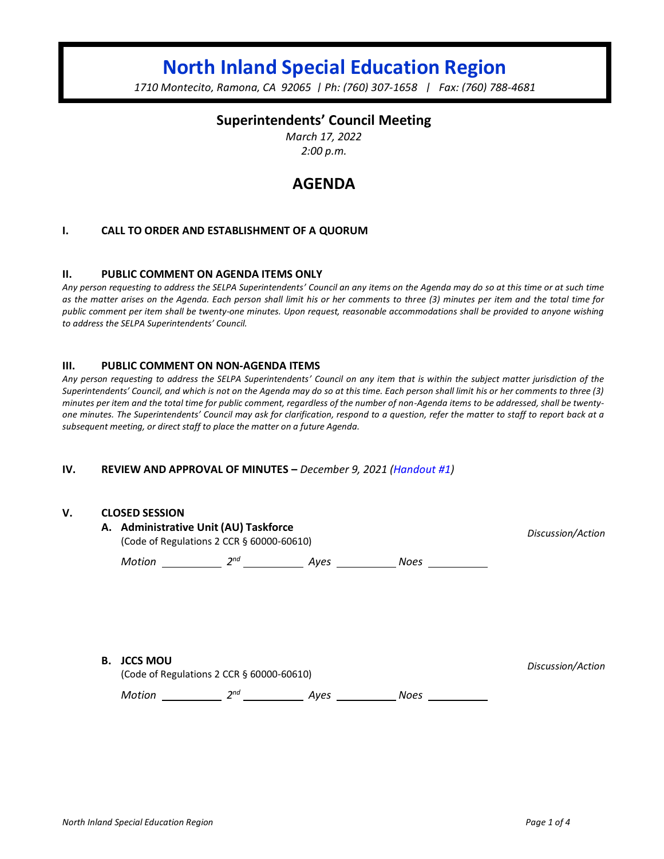# **North Inland Special Education Region**

*1710 Montecito, Ramona, CA 92065 | Ph: (760) 307-1658 | Fax: (760) 788-4681*

## **Superintendents' Council Meeting**

*March 17, 2022 2:00 p.m.*

## **AGENDA**

#### **I. CALL TO ORDER AND ESTABLISHMENT OF A QUORUM**

#### **II. PUBLIC COMMENT ON AGENDA ITEMS ONLY**

*Any person requesting to address the SELPA Superintendents' Council an any items on the Agenda may do so at this time or at such time as the matter arises on the Agenda. Each person shall limit his or her comments to three (3) minutes per item and the total time for public comment per item shall be twenty-one minutes. Upon request, reasonable accommodations shall be provided to anyone wishing to address the SELPA Superintendents' Council.*

#### **III. PUBLIC COMMENT ON NON-AGENDA ITEMS**

*Any person requesting to address the SELPA Superintendents' Council on any item that is within the subject matter jurisdiction of the Superintendents' Council, and which is not on the Agenda may do so at this time. Each person shall limit his or her comments to three (3) minutes per item and the total time for public comment, regardless of the number of non-Agenda items to be addressed, shall be twentyone minutes. The Superintendents' Council may ask for clarification, respond to a question, refer the matter to staff to report back at a subsequent meeting, or direct staff to place the matter on a future Agenda.*

#### **IV. REVIEW AND APPROVAL OF MINUTES –** *December 9, 2021 (Handout #1)*

#### **V. CLOSED SESSION**

|    | A. Administrative Unit (AU) Taskforce<br>(Code of Regulations 2 CCR § 60000-60610) | Discussion/Action |      |             |                   |
|----|------------------------------------------------------------------------------------|-------------------|------|-------------|-------------------|
|    | Motion                                                                             | 2 <sup>nd</sup>   | Ayes | <b>Noes</b> |                   |
|    |                                                                                    |                   |      |             |                   |
|    |                                                                                    |                   |      |             |                   |
|    |                                                                                    |                   |      |             |                   |
|    |                                                                                    |                   |      |             |                   |
|    |                                                                                    |                   |      |             |                   |
| В. | JCCS MOU                                                                           |                   |      |             | Discussion/Action |

(Code of Regulations 2 CCR § 60000-60610)

*Discussion/Action*

*Motion* 2<sup>nd</sup> 2<sup>nd</sup> Ayes 2008 Noes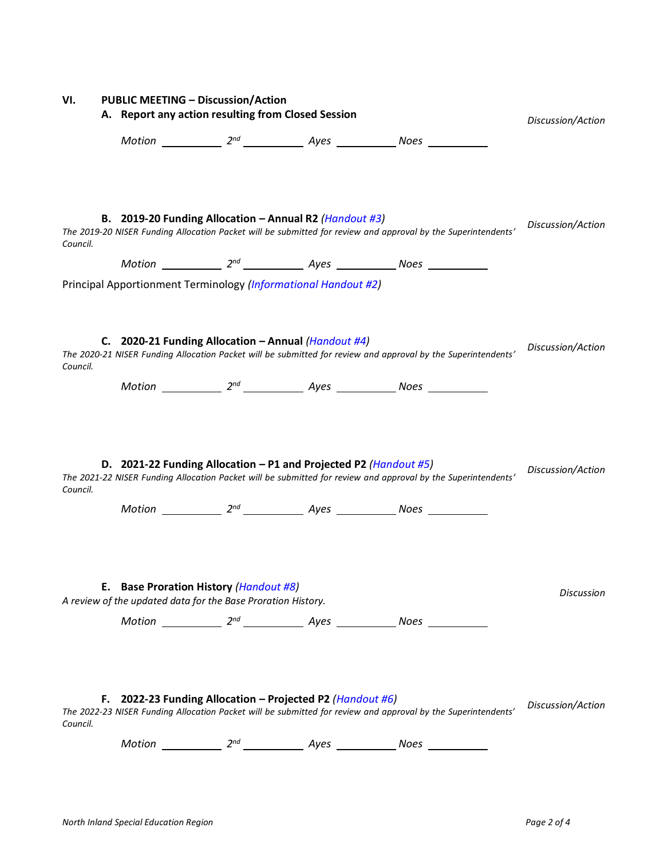| VI.      | <b>PUBLIC MEETING - Discussion/Action</b> |                                                    |                                                                                                                                   |                                                                                                               |                   |
|----------|-------------------------------------------|----------------------------------------------------|-----------------------------------------------------------------------------------------------------------------------------------|---------------------------------------------------------------------------------------------------------------|-------------------|
|          |                                           | A. Report any action resulting from Closed Session | Discussion/Action                                                                                                                 |                                                                                                               |                   |
|          |                                           |                                                    |                                                                                                                                   |                                                                                                               |                   |
| Council. |                                           |                                                    | B. 2019-20 Funding Allocation - Annual R2 ( <i>Handout #3</i> )<br>Principal Apportionment Terminology (Informational Handout #2) | The 2019-20 NISER Funding Allocation Packet will be submitted for review and approval by the Superintendents' | Discussion/Action |
| Council. |                                           |                                                    | C. 2020-21 Funding Allocation – Annual (Handout #4)                                                                               | The 2020-21 NISER Funding Allocation Packet will be submitted for review and approval by the Superintendents' | Discussion/Action |
|          |                                           |                                                    |                                                                                                                                   | Motion _____________ 2 <sup>nd</sup> _______________ Ayes _____________ Noes ____________                     |                   |
| Council. |                                           |                                                    | D. 2021-22 Funding Allocation – P1 and Projected P2 (Handout #5)                                                                  | The 2021-22 NISER Funding Allocation Packet will be submitted for review and approval by the Superintendents' | Discussion/Action |
|          |                                           |                                                    |                                                                                                                                   |                                                                                                               |                   |
|          |                                           |                                                    | E. Base Proration History (Handout #8)<br>A review of the updated data for the Base Proration History.                            |                                                                                                               | Discussion        |
|          |                                           |                                                    |                                                                                                                                   |                                                                                                               |                   |
| Council. | F.                                        |                                                    | 2022-23 Funding Allocation - Projected P2 (Handout #6)                                                                            | The 2022-23 NISER Funding Allocation Packet will be submitted for review and approval by the Superintendents' | Discussion/Action |
|          |                                           |                                                    |                                                                                                                                   | Motion _____________ $2^{nd}$ ________________ Ayes ______________ Noes ___________                           |                   |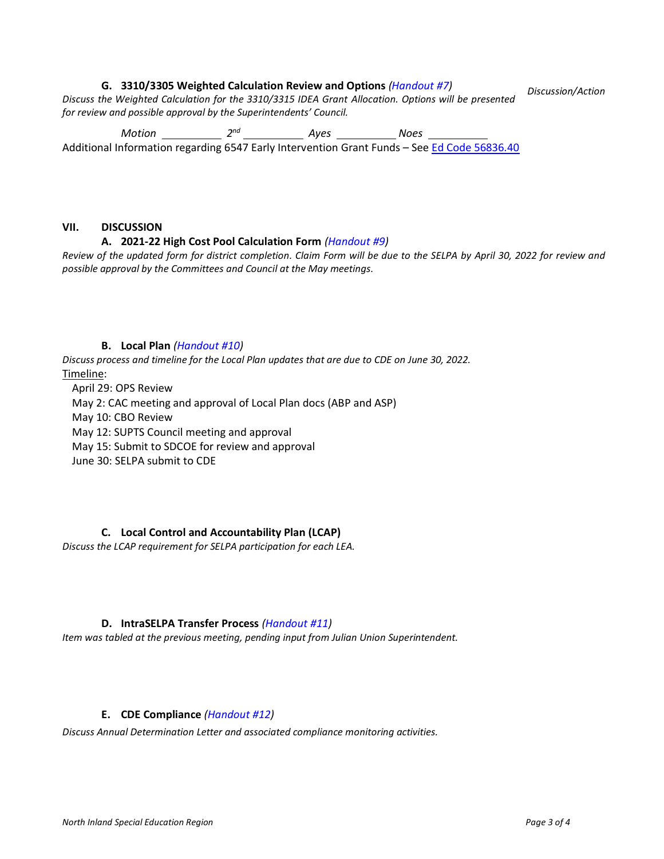#### **G. 3310/3305 Weighted Calculation Review and Options** *(Handout #7)*

*Discuss the Weighted Calculation for the 3310/3315 IDEA Grant Allocation. Options will be presented for review and possible approval by the Superintendents' Council. Discussion/Action*

*Motion 2 nd Ayes Noes*  Additional Information regarding 6547 Early Intervention Grant Funds – See [Ed Code 56836.40](https://leginfo.legislature.ca.gov/faces/codes_displaySection.xhtml?sectionNum=56836.40&lawCode=EDC)

#### **VII. DISCUSSION**

#### **A. 2021-22 High Cost Pool Calculation Form** *(Handout #9)*

*Review of the updated form for district completion. Claim Form will be due to the SELPA by April 30, 2022 for review and possible approval by the Committees and Council at the May meetings.*

#### **B. Local Plan** *(Handout #10)*

*Discuss process and timeline for the Local Plan updates that are due to CDE on June 30, 2022.* Timeline:

April 29: OPS Review May 2: CAC meeting and approval of Local Plan docs (ABP and ASP) May 10: CBO Review May 12: SUPTS Council meeting and approval May 15: Submit to SDCOE for review and approval June 30: SELPA submit to CDE

## **C. Local Control and Accountability Plan (LCAP)**

*Discuss the LCAP requirement for SELPA participation for each LEA.*

## **D. IntraSELPA Transfer Process** *(Handout #11)*

*Item was tabled at the previous meeting, pending input from Julian Union Superintendent.*

#### **E. CDE Compliance** *(Handout #12)*

*Discuss Annual Determination Letter and associated compliance monitoring activities.*